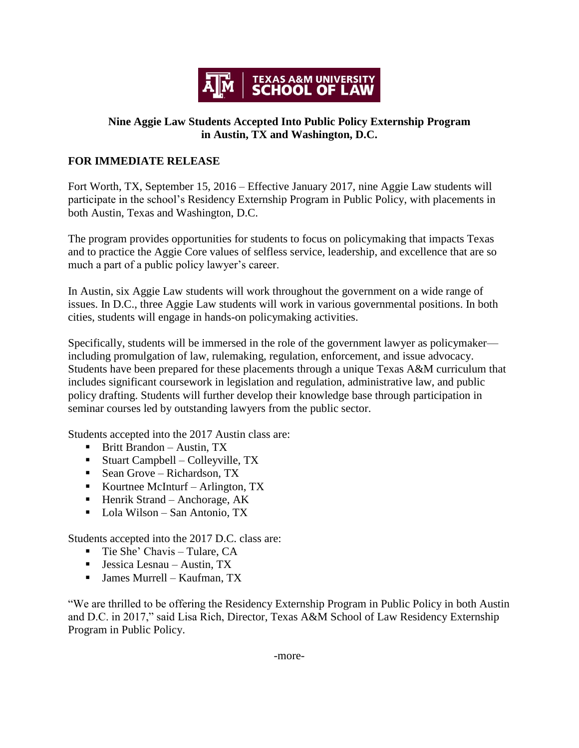

## **Nine Aggie Law Students Accepted Into Public Policy Externship Program in Austin, TX and Washington, D.C.**

## **FOR IMMEDIATE RELEASE**

Fort Worth, TX, September 15, 2016 – Effective January 2017, nine Aggie Law students will participate in the school's Residency Externship Program in Public Policy, with placements in both Austin, Texas and Washington, D.C.

The program provides opportunities for students to focus on policymaking that impacts Texas and to practice the Aggie Core values of selfless service, leadership, and excellence that are so much a part of a public policy lawyer's career.

In Austin, six Aggie Law students will work throughout the government on a wide range of issues. In D.C., three Aggie Law students will work in various governmental positions. In both cities, students will engage in hands-on policymaking activities.

Specifically, students will be immersed in the role of the government lawyer as policymaker including promulgation of law, rulemaking, regulation, enforcement, and issue advocacy. Students have been prepared for these placements through a unique Texas A&M curriculum that includes significant coursework in legislation and regulation, administrative law, and public policy drafting. Students will further develop their knowledge base through participation in seminar courses led by outstanding lawyers from the public sector.

Students accepted into the 2017 Austin class are:

- Britt Brandon Austin, TX
- Stuart Campbell Colleyville,  $TX$
- Sean Grove Richardson, TX
- Kourtnee McInturf Arlington,  $TX$
- $\blacksquare$  Henrik Strand Anchorage, AK
- Lola Wilson San Antonio, TX

Students accepted into the 2017 D.C. class are:

- $\blacksquare$  Tie She' Chavis Tulare, CA
- $\blacksquare$  Jessica Lesnau Austin, TX
- James Murrell Kaufman, TX

"We are thrilled to be offering the Residency Externship Program in Public Policy in both Austin and D.C. in 2017," said Lisa Rich, Director, Texas A&M School of Law Residency Externship Program in Public Policy.